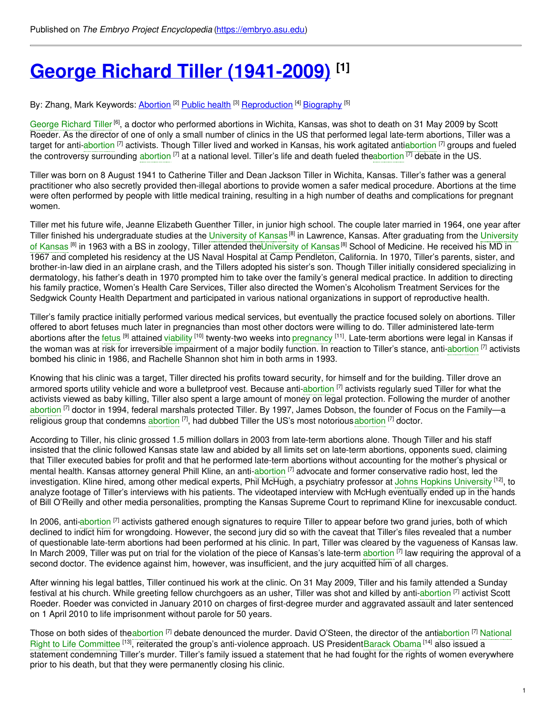# **George Richard Tiller [\(1941-2009\)](https://embryo.asu.edu/pages/george-richard-tiller-1941-2009) [1]**

By: Zhang, Mark Keywords: <u>[Abortion](https://embryo.asu.edu/keywords/abortion) [2] [Public](https://embryo.asu.edu/keywords/public-health) health</u> [3] <u>[Reproduction](https://embryo.asu.edu/keywords/reproduction)</u> [4] <u>[Biography](https://embryo.asu.edu/keywords/biography)</u> [5]

George [Richard](https://embryo.asu.edu/search?text=George%20Richard%20Tiller) Tiller<sup>[6]</sup>, a doctor who performed abortions in Wichita, Kansas, was shot to death on 31 May 2009 by Scott Roeder. As the director of one of only a small number of clinics in the US that performed legal late-term abortions, Tiller was a target for anti[-abortion](https://embryo.asu.edu/search?text=abortion) [7] activists. Though Tiller lived and worked in Kansas, his work agitated antiabortion <sup>[7]</sup> groups and fueled the controversy surrounding [abortion](https://embryo.asu.edu/search?text=abortion) <sup>[7]</sup> at a national level. Tiller's life and death fueled th[eabortion](https://embryo.asu.edu/search?text=abortion) <sup>[7]</sup> debate in the US.

Tiller was born on 8 August 1941 to Catherine Tiller and Dean Jackson Tiller in Wichita, Kansas. Tiller's father was a general practitioner who also secretly provided then-illegal abortions to provide women a safer medical procedure. Abortions at the time were often performed by people with little medical training, resulting in a high number of deaths and complications for pregnant women.

Tiller met his future wife, Jeanne Elizabeth Guenther Tiller, in junior high school. The couple later married in 1964, one year after Tiller finished his [undergraduate](https://embryo.asu.edu/search?text=University%20of%20Kansas) studies at the [University](https://embryo.asu.edu/search?text=University%20of%20Kansas) of Kansas<sup>®</sup> in Lawrence, Kansas. After graduating from the University of Kansas <sup>[8]</sup> in 1963 with a BS in zoology, Tiller attended th[eUniversity](https://embryo.asu.edu/search?text=University%20of%20Kansas) of Kansas<sup>[8]</sup> School of Medicine. He received his MD in 1967 and completed his residency at the US Naval Hospital at Camp Pendleton, California. In 1970, Tiller's parents, sister, and brother-in-law died in an airplane crash, and the Tillers adopted his sister's son. Though Tiller initially considered specializing in dermatology, his father's death in 1970 prompted him to take over the family's general medical practice. In addition to directing his family practice, Women's Health Care Services, Tiller also directed the Women's Alcoholism Treatment Services for the Sedgwick County Health Department and participated in various national organizations in support of reproductive health.

Tiller's family practice initially performed various medical services, but eventually the practice focused solely on abortions. Tiller offered to abort fetuses much later in pregnancies than most other doctors were willing to do. Tiller administered late-term abortions after the [fetus](https://embryo.asu.edu/search?text=fetus) <sup>[9]</sup> attained [viability](https://embryo.asu.edu/search?text=viability) <sup>[10]</sup> twenty-two weeks into [pregnancy](https://embryo.asu.edu/search?text=pregnancy) <sup>[11]</sup>. Late-term abortions were legal in Kansas if the woman was at risk for irreversible impairment of a major bodily function. In reaction to Tiller's stance, anti[-abortion](https://embryo.asu.edu/search?text=abortion) <sup>[7]</sup> activists bombed his clinic in 1986, and Rachelle Shannon shot him in both arms in 1993.

Knowing that his clinic was a target, Tiller directed his profits toward security, for himself and for the building. Tiller drove an armored sports utility vehicle and wore a bulletproof vest. Because anti[-abortion](https://embryo.asu.edu/search?text=abortion) <sup>[7]</sup> activists regularly sued Tiller for what the activists viewed as baby killing, Tiller also spent a large amount of money on legal protection. Following the murder of another [abortion](https://embryo.asu.edu/search?text=abortion) <sup>[7]</sup> doctor in 1994, federal marshals protected Tiller. By 1997, James Dobson, the founder of Focus on the Family—a religious group that condemns [abortion](https://embryo.asu.edu/search?text=abortion) <sup>[7]</sup>, had dubbed Tiller the US's most notorious abortion <sup>[7]</sup> doctor.

According to Tiller, his clinic grossed 1.5 million dollars in 2003 from late-term abortions alone. Though Tiller and his staff insisted that the clinic followed Kansas state law and abided by all limits set on late-term abortions, opponents sued, claiming that Tiller executed babies for profit and that he performed late-term abortions without accounting for the mother's physical or mental health. Kansas attorney general Phill Kline, an anti[-abortion](https://embryo.asu.edu/search?text=abortion) <sup>[7]</sup> advocate and former conservative radio host, led the investigation. Kline hired, among other medical experts, Phil McHugh, a psychiatry professor at Johns Hopkins [University](https://embryo.asu.edu/search?text=Johns%20Hopkins%20University) <sup>[12]</sup>, to analyze footage of Tiller's interviews with his patients. The videotaped interview with McHugh eventually ended up in the hands of Bill O'Reilly and other media personalities, prompting the Kansas Supreme Court to reprimand Kline for inexcusable conduct.

In 2006, anti[-abortion](https://embryo.asu.edu/search?text=abortion) <sup>[7]</sup> activists gathered enough signatures to require Tiller to appear before two grand juries, both of which declined to indict him for wrongdoing. However, the second jury did so with the caveat that Tiller's files revealed that a number of questionable late-term abortions had been performed at his clinic. In part, Tiller was cleared by the vagueness of Kansas law. In March 2009, Tiller was put on trial for the violation of the piece of Kansas's late-term [abortion](https://embryo.asu.edu/search?text=abortion) <sup>[7]</sup> law requiring the approval of a second doctor. The evidence against him, however, was insufficient, and the jury acquitted him of all charges.

After winning his legal battles, Tiller continued his work at the clinic. On 31 May 2009, Tiller and his family attended a Sunday festival at his church. While greeting fellow churchgoers as an usher, Tiller was shot and killed by anti[-abortion](https://embryo.asu.edu/search?text=abortion) <sup>[7]</sup> activist Scott Roeder. Roeder was convicted in January 2010 on charges of first-degree murder and aggravated assault and later sentenced on 1 April 2010 to life imprisonment without parole for 50 years.

Those on both sides of th[eabortion](https://embryo.asu.edu/search?text=abortion) <sup>[7]</sup> debate denounced the murder. David O'Steen, the director of the antia[bortion](https://embryo.asu.edu/search?text=abortion) <sup>[7]</sup> National Right to Life Committee <sup>[13]</sup>, reiterated the group's anti-violence approach. US [PresidentBarack](https://embryo.asu.edu/search?text=National%20Right%20to%20Life%20Committee) [Obama](https://embryo.asu.edu/search?text=Barack%20Obama) <sup>[14]</sup> also issued a statement condemning Tiller's murder. Tiller's family issued a statement that he had fought for the rights of women everywhere prior to his death, but that they were permanently closing his clinic.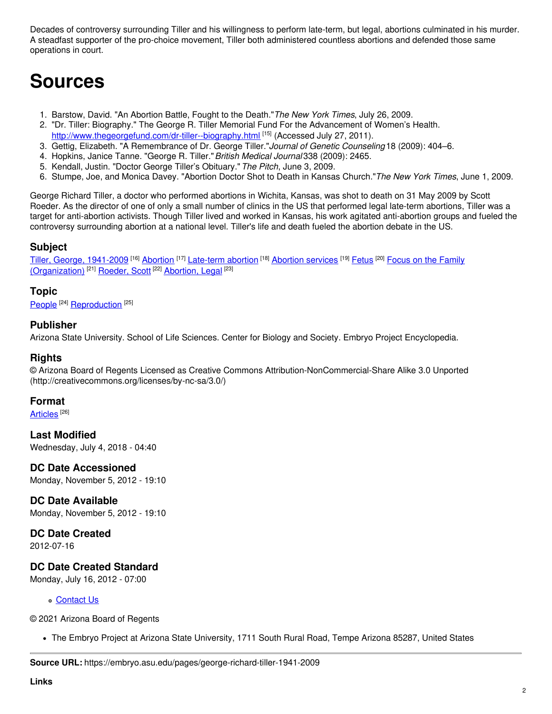Decades of controversy surrounding Tiller and his willingness to perform late-term, but legal, abortions culminated in his murder. A steadfast supporter of the pro-choice movement, Tiller both administered countless abortions and defended those same operations in court.

## **Sources**

- 1. Barstow, David. "An Abortion Battle, Fought to the Death."*The New York Times*, July 26, 2009.
- 2. "Dr. Tiller: Biography." The George R. Tiller Memorial Fund For the Advancement of Women's Health. <http://www.thegeorgefund.com/dr-tiller--biography.html> <sup>[15]</sup> (Accessed July 27, 2011).
- 3. Gettig, Elizabeth. "A Remembrance of Dr. George Tiller."*Journal of Genetic Counseling* 18 (2009): 404–6.
- 4. Hopkins, Janice Tanne. "George R. Tiller."*British Medical Journal* 338 (2009): 2465.
- 5. Kendall, Justin. "Doctor George Tiller's Obituary."*The Pitch*, June 3, 2009.
- 6. Stumpe, Joe, and Monica Davey. "Abortion Doctor Shot to Death in Kansas Church."*The New York Times*, June 1, 2009.

George Richard Tiller, a doctor who performed abortions in Wichita, Kansas, was shot to death on 31 May 2009 by Scott Roeder. As the director of one of only a small number of clinics in the US that performed legal late-term abortions, Tiller was a target for anti-abortion activists. Though Tiller lived and worked in Kansas, his work agitated anti-abortion groups and fueled the controversy surrounding abortion at a national level. Tiller's life and death fueled the abortion debate in the US.

#### **Subject**

Tiller, George, [1941-2009](https://embryo.asu.edu/library-congress-subject-headings/tiller-george-1941-2009) <sup>[16]</sup> [Abortion](https://embryo.asu.edu/library-congress-subject-headings/abortion-services) <sup>[17]</sup> [Late-term](https://embryo.asu.edu/library-congress-subject-headings/late-term-abortion) abortion <sup>[18]</sup> Abortion services <sup>[19]</sup> [Fetus](https://embryo.asu.edu/library-congress-subject-headings/fetus) <sup>[20]</sup> Focus on the Family [\(Organization\)](https://embryo.asu.edu/library-congress-subject-headings/focus-family-organization)<sup>[21]</sup> [Roeder,](https://embryo.asu.edu/library-congress-subject-headings/roeder-scott) Scott<sup>[22]</sup> [Abortion,](https://embryo.asu.edu/medical-subject-headings/abortion-legal) Legal<sup>[23]</sup>

#### **Topic**

[People](https://embryo.asu.edu/topics/people)<sup>[24]</sup> [Reproduction](https://embryo.asu.edu/topics/reproduction)<sup>[25]</sup>

#### **Publisher**

Arizona State University. School of Life Sciences. Center for Biology and Society. Embryo Project Encyclopedia.

#### **Rights**

© Arizona Board of Regents Licensed as Creative Commons Attribution-NonCommercial-Share Alike 3.0 Unported (http://creativecommons.org/licenses/by-nc-sa/3.0/)

#### **Format**

<u>[Articles](https://embryo.asu.edu/formats/articles)</u>  $^{[26]}$ 

**Last Modified** Wednesday, July 4, 2018 - 04:40

**DC Date Accessioned**

Monday, November 5, 2012 - 19:10

### **DC Date Available**

Monday, November 5, 2012 - 19:10

#### **DC Date Created**

2012-07-16

#### **DC Date Created Standard**

Monday, July 16, 2012 - 07:00

#### **c** [Contact](https://embryo.asu.edu/contact) Us

© 2021 Arizona Board of Regents

The Embryo Project at Arizona State University, 1711 South Rural Road, Tempe Arizona 85287, United States